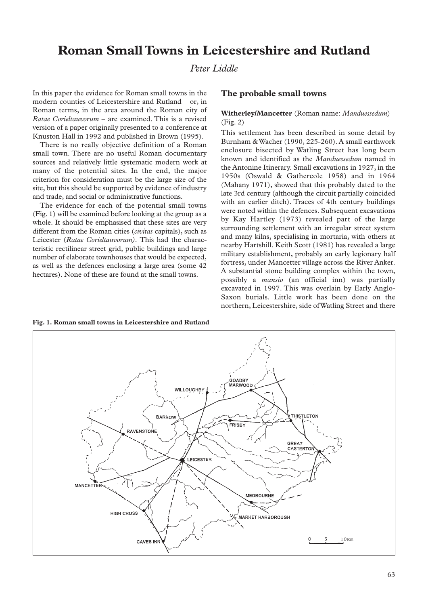# **Roman Small Towns in Leicestershire and Rutland**

## *Peter Liddle*

In this paper the evidence for Roman small towns in the modern counties of Leicestershire and Rutland – or, in Roman terms, in the area around the Roman city of *Ratae Corieltauvorum* – are examined. This is a revised version of a paper originally presented to a conference at Knuston Hall in 1992 and published in Brown (1995).

There is no really objective definition of a Roman small town. There are no useful Roman documentary sources and relatively little systematic modern work at many of the potential sites. In the end, the major criterion for consideration must be the large size of the site, but this should be supported by evidence of industry and trade, and social or administrative functions.

The evidence for each of the potential small towns (Fig. 1) will be examined before looking at the group as a whole. It should be emphasised that these sites are very different from the Roman cities (*civitas* capitals), such as Leicester (*Ratae Corieltauvorum).* This had the characteristic rectilinear street grid, public buildings and large number of elaborate townhouses that would be expected, as well as the defences enclosing a large area (some 42 hectares). None of these are found at the small towns.

## **The probable small towns**

## **Witherley/Mancetter** (Roman name: *Manduessedum*) (Fig. 2)

This settlement has been described in some detail by Burnham & Wacher (1990, 225-260). A small earthwork enclosure bisected by Watling Street has long been known and identified as the *Manduessedum* named in the Antonine Itinerary. Small excavations in 1927, in the 1950s (Oswald & Gathercole 1958) and in 1964 (Mahany 1971), showed that this probably dated to the late 3rd century (although the circuit partially coincided with an earlier ditch). Traces of 4th century buildings were noted within the defences. Subsequent excavations by Kay Hartley (1973) revealed part of the large surrounding settlement with an irregular street system and many kilns, specialising in mortaria, with others at nearby Hartshill. Keith Scott (1981) has revealed a large military establishment, probably an early legionary half fortress, under Mancetter village across the River Anker. A substantial stone building complex within the town, possibly a *mansio* (an official inn) was partially excavated in 1997. This was overlain by Early Anglo-Saxon burials. Little work has been done on the northern, Leicestershire, side of Watling Street and there



63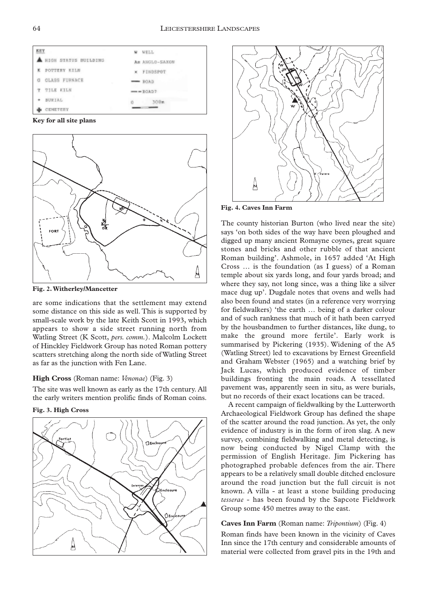

**Key for all site plans**



**Fig. 2.Witherley/Mancetter**

are some indications that the settlement may extend some distance on this side as well. This is supported by small-scale work by the late Keith Scott in 1993, which appears to show a side street running north from Watling Street (K Scott, *pers. comm.*). Malcolm Lockett of Hinckley Fieldwork Group has noted Roman pottery scatters stretching along the north side of Watling Street as far as the junction with Fen Lane.

#### **High Cross** (Roman name: *Venonae*) (Fig. 3)

The site was well known as early as the 17th century. All the early writers mention prolific finds of Roman coins.

**Fig. 3. High Cross**





**Fig. 4. Caves Inn Farm**

The county historian Burton (who lived near the site) says 'on both sides of the way have been ploughed and digged up many ancient Romayne coynes, great square stones and bricks and other rubble of that ancient Roman building'. Ashmole, in 1657 added 'At High Cross … is the foundation (as I guess) of a Roman temple about six yards long, and four yards broad; and where they say, not long since, was a thing like a silver mace dug up'. Dugdale notes that ovens and wells had also been found and states (in a reference very worrying for fieldwalkers) 'the earth … being of a darker colour and of such rankness that much of it hath been carryed by the housbandmen to further distances, like dung, to make the ground more fertile'. Early work is summarised by Pickering (1935). Widening of the A5 (Watling Street) led to excavations by Ernest Greenfield and Graham Webster (1965) and a watching brief by Jack Lucas, which produced evidence of timber buildings fronting the main roads. A tessellated pavement was, apparently seen in situ, as were burials, but no records of their exact locations can be traced.

A recent campaign of fieldwalking by the Lutterworth Archaeological Fieldwork Group has defined the shape of the scatter around the road junction. As yet, the only evidence of industry is in the form of iron slag. A new survey, combining fieldwalking and metal detecting, is now being conducted by Nigel Clamp with the permission of English Heritage. Jim Pickering has photographed probable defences from the air. There appears to be a relatively small double ditched enclosure around the road junction but the full circuit is not known. A villa - at least a stone building producing *tesserae* - has been found by the Sapcote Fieldwork Group some 450 metres away to the east.

## **Caves Inn Farm** (Roman name: *Tripontium*) (Fig. 4)

Roman finds have been known in the vicinity of Caves Inn since the 17th century and considerable amounts of material were collected from gravel pits in the 19th and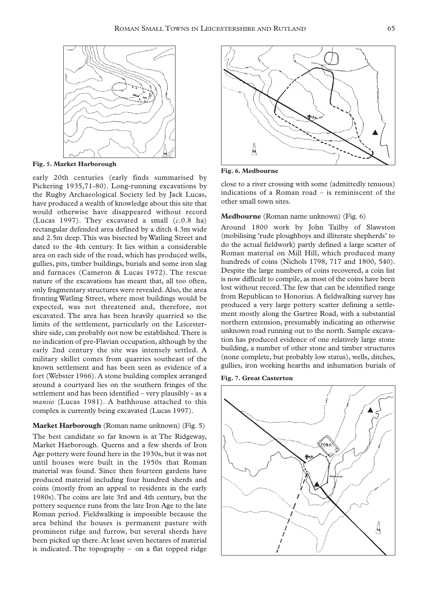

**Fig. 5. Market Harborough**

early 20th centuries (early finds summarised by Pickering 1935,71-80). Long-running excavations by the Rugby Archaeological Society led by Jack Lucas, have produced a wealth of knowledge about this site that would otherwise have disappeared without record (Lucas 1997). They excavated a small (*c.*0.8 ha) rectangular defended area defined by a ditch 4.3m wide and 2.5m deep.This was bisected by Watling Street and dated to the 4th century. It lies within a considerable area on each side of the road, which has produced wells, gullies, pits, timber buildings, burials and some iron slag and furnaces (Cameron & Lucas 1972). The rescue nature of the excavations has meant that, all too often, only fragmentary structures were revealed. Also, the area fronting Watling Street, where most buildings would be expected, was not threatened and, therefore, not excavated. The area has been heavily quarried so the limits of the settlement, particularly on the Leicestershire side, can probably not now be established.There is no indication of pre-Flavian occupation, although by the early 2nd century the site was intensely settled. A military skillet comes from quarries southeast of the known settlement and has been seen as evidence of a fort (Webster 1966). A stone building complex arranged around a courtyard lies on the southern fringes of the settlement and has been identified – very plausibly - as a *mansio* (Lucas 1981). A bathhouse attached to this complex is currently being excavated (Lucas 1997).

#### **Market Harborough** (Roman name unknown) (Fig. 5)

The best candidate so far known is at The Ridgeway, Market Harborough. Querns and a few sherds of Iron Age pottery were found here in the 1930s, but it was not until houses were built in the 1950s that Roman material was found. Since then fourteen gardens have produced material including four hundred sherds and coins (mostly from an appeal to residents in the early 1980s). The coins are late 3rd and 4th century, but the pottery sequence runs from the late Iron Age to the late Roman period. Fieldwalking is impossible because the area behind the houses is permanent pasture with prominent ridge and furrow, but several sherds have been picked up there. At least seven hectares of material is indicated. The topography – on a flat topped ridge



**Fig. 6. Medbourne**

close to a river crossing with some (admittedly tenuous) indications of a Roman road – is reminiscent of the other small town sites.

#### **Medbourne** (Roman name unknown) (Fig. 6)

Around 1800 work by John Tailby of Slawston (mobilising 'rude ploughboys and illiterate shepherds' to do the actual fieldwork) partly defined a large scatter of Roman material on Mill Hill, which produced many hundreds of coins (Nichols 1798, 717 and 1800, 540). Despite the large numbers of coins recovered, a coin list is now difficult to compile, as most of the coins have been lost without record.The few that can be identified range from Republican to Honorius. A fieldwalking survey has produced a very large pottery scatter defining a settlement mostly along the Gartree Road, with a substantial northern extension, presumably indicating an otherwise unknown road running out to the north. Sample excavation has produced evidence of one relatively large stone building, a number of other stone and timber structures (none complete, but probably low status), wells, ditches, gullies, iron working hearths and inhumation burials of



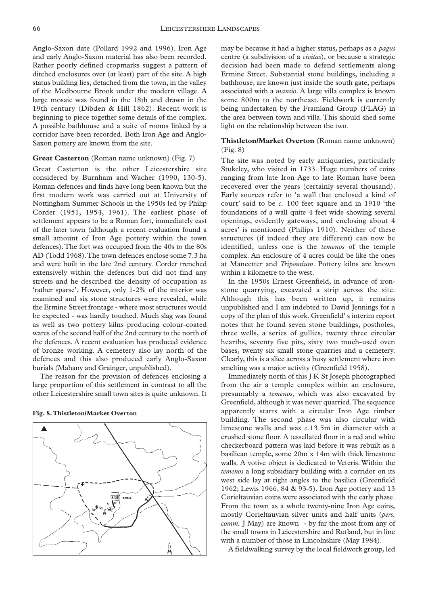Anglo-Saxon date (Pollard 1992 and 1996). Iron Age and early Anglo-Saxon material has also been recorded. Rather poorly defined cropmarks suggest a pattern of ditched enclosures over (at least) part of the site. A high status building lies, detached from the town, in the valley of the Medbourne Brook under the modern village. A large mosaic was found in the 18th and drawn in the 19th century (Dibden & Hill 1862). Recent work is beginning to piece together some details of the complex. A possible bathhouse and a suite of rooms linked by a corridor have been recorded. Both Iron Age and Anglo-Saxon pottery are known from the site.

#### **Great Casterton** (Roman name unknown) (Fig. 7)

Great Casterton is the other Leicestershire site considered by Burnham and Wacher (1990, 130-5). Roman defences and finds have long been known but the first modern work was carried out at University of Nottingham Summer Schools in the 1950s led by Philip Corder (1951, 1954, 1961). The earliest phase of settlement appears to be a Roman fort, immediately east of the later town (although a recent evaluation found a small amount of Iron Age pottery within the town defences).The fort was occupied from the 40s to the 80s AD (Todd 1968).The town defences enclose some 7.3 ha and were built in the late 2nd century. Corder trenched extensively within the defences but did not find any streets and he described the density of occupation as 'rather sparse'. However, only 1-2% of the interior was examined and six stone structures were revealed, while the Ermine Street frontage - where most structures would be expected - was hardly touched. Much slag was found as well as two pottery kilns producing colour-coated wares of the second half of the 2nd century to the north of the defences. A recent evaluation has produced evidence of bronze working. A cemetery also lay north of the defences and this also produced early Anglo-Saxon burials (Mahany and Grainger, unpublished).

The reason for the provision of defences enclosing a large proportion of this settlement in contrast to all the other Leicestershire small town sites is quite unknown. It

**Fig. 8.Thistleton/Market Overton**



may be because it had a higher status, perhaps as a *pagus* centre (a subdivision of a *civitas*), or because a strategic decision had been made to defend settlements along Ermine Street. Substantial stone buildings, including a bathhouse, are known just inside the south gate, perhaps associated with a *mansio*. A large villa complex is known some 800m to the northeast. Fieldwork is currently being undertaken by the Framland Group (FLAG) in the area between town and villa. This should shed some light on the relationship between the two.

#### **Thistleton/Market Overton** (Roman name unknown) (Fig. 8)

The site was noted by early antiquaries, particularly Stukeley, who visited in 1733. Huge numbers of coins ranging from late Iron Age to late Roman have been recovered over the years (certainly several thousand). Early sources refer to 'a wall that enclosed a kind of court' said to be *c.* 100 feet square and in 1910 'the foundations of a wall quite 4 feet wide showing several openings, evidently gateways, and enclosing about 4 acres' is mentioned (Philips 1910). Neither of these structures (if indeed they are different) can now be identified, unless one is the *temenos* of the temple complex. An enclosure of 4 acres could be like the ones at Mancetter and *Tripontium*. Pottery kilns are known within a kilometre to the west.

In the 1950s Ernest Greenfield, in advance of ironstone quarrying, excavated a strip across the site. Although this has been written up, it remains unpublished and I am indebted to David Jennings for a copy of the plan of this work. Greenfield' s interim report notes that he found seven stone buildings, postholes, three wells, a series of gullies, twenty three circular hearths, seventy five pits, sixty two much-used oven bases, twenty six small stone quarries and a cemetery. Clearly, this is a slice across a busy settlement where iron smelting was a major activity (Greenfield 1958).

Immediately north of this J K St Joseph photographed from the air a temple complex within an enclosure, presumably a *temenos*, which was also excavated by Greenfield, although it was never quarried.The sequence apparently starts with a circular Iron Age timber building. The second phase was also circular with limestone walls and was *c.*13.5m in diameter with a crushed stone floor. A tessellated floor in a red and white checkerboard pattern was laid before it was rebuilt as a basilican temple, some 20m x 14m with thick limestone walls. A votive object is dedicated to Veteris. Within the *temenos* a long subsidiary building with a corridor on its west side lay at right angles to the basilica (Greenfield 1962; Lewis 1966, 84 & 93-5). Iron Age pottery and 13 Corieltauvian coins were associated with the early phase. From the town as a whole twenty-nine Iron Age coins, mostly Corieltauvian silver units and half units (*pers. comm.* J May) are known - by far the most from any of the small towns in Leicestershire and Rutland, but in line with a number of those in Lincolnshire (May 1984).

A fieldwalking survey by the local fieldwork group, led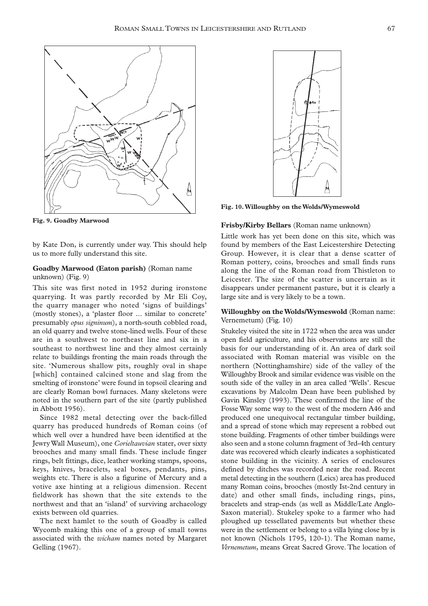

**Fig. 9. Goadby Marwood**

by Kate Don, is currently under way. This should help us to more fully understand this site.

## **Goadby Marwood (Eaton parish)** (Roman name unknown) (Fig. 9)

This site was first noted in 1952 during ironstone quarrying. It was partly recorded by Mr Eli Coy, the quarry manager who noted 'signs of buildings' (mostly stones), a 'plaster floor ... similar to concrete' presumably *opus signinum*), a north-south cobbled road, an old quarry and twelve stone-lined wells. Four of these are in a southwest to northeast line and six in a southeast to northwest line and they almost certainly relate to buildings fronting the main roads through the site. 'Numerous shallow pits, roughly oval in shape [which] contained calcined stone and slag from the smelting of ironstone' were found in topsoil clearing and are clearly Roman bowl furnaces. Many skeletons were noted in the southern part of the site (partly published in Abbott 1956).

Since 1982 metal detecting over the back-filled quarry has produced hundreds of Roman coins (of which well over a hundred have been identified at the Jewry Wall Museum), one *Corieltauvian* stater, over sixty brooches and many small finds. These include finger rings, belt fittings, dice, leather working stamps, spoons, keys, knives, bracelets, seal boxes, pendants, pins, weights etc. There is also a figurine of Mercury and a votive axe hinting at a religious dimension. Recent fieldwork has shown that the site extends to the northwest and that an 'island' of surviving archaeology exists between old quarries.

The next hamlet to the south of Goadby is called Wycomb making this one of a group of small towns associated with the *wicham* names noted by Margaret Gelling (1967).



**Fig. 10.Willoughby on the Wolds/Wymeswold**

#### **Frisby/Kirby Bellars** (Roman name unknown)

Little work has yet been done on this site, which was found by members of the East Leicestershire Detecting Group. However, it is clear that a dense scatter of Roman pottery, coins, brooches and small finds runs along the line of the Roman road from Thistleton to Leicester. The size of the scatter is uncertain as it disappears under permanent pasture, but it is clearly a large site and is very likely to be a town.

## **Willoughby on the Wolds/Wymeswold** (Roman name: Vernemetum) (Fig. 10)

Stukeley visited the site in 1722 when the area was under open field agriculture, and his observations are still the basis for our understanding of it. An area of dark soil associated with Roman material was visible on the northern (Nottinghamshire) side of the valley of the Willoughby Brook and similar evidence was visible on the south side of the valley in an area called 'Wells'. Rescue excavations by Malcolm Dean have been published by Gavin Kinsley (1993). These confirmed the line of the Fosse Way some way to the west of the modern A46 and produced one unequivocal rectangular timber building, and a spread of stone which may represent a robbed out stone building. Fragments of other timber buildings were also seen and a stone column fragment of 3rd-4th century date was recovered which clearly indicates a sophisticated stone building in the vicinity. A series of enclosures defined by ditches was recorded near the road. Recent metal detecting in the southern (Leics) area has produced many Roman coins, brooches (mostly Ist-2nd century in date) and other small finds, including rings, pins, bracelets and strap-ends (as well as Middle/Late Anglo-Saxon material). Stukeley spoke to a farmer who had ploughed up tessellated pavements but whether these were in the settlement or belong to a villa lying close by is not known (Nichols 1795, 120-1). The Roman name, *Vernemetum*, means Great Sacred Grove. The location of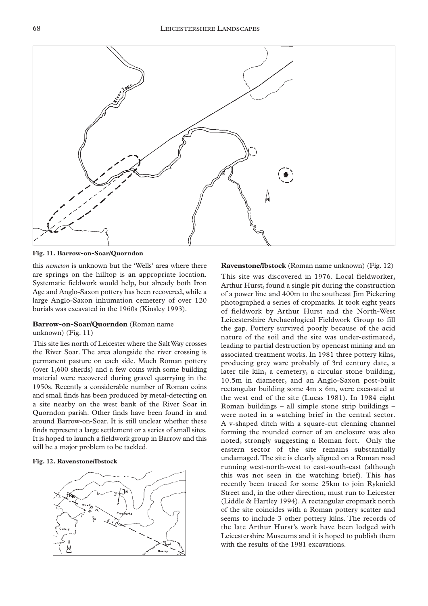

**Fig. 11. Barrow-on-Soar/Quorndon**

this *nemeton* is unknown but the 'Wells' area where there are springs on the hilltop is an appropriate location. Systematic fieldwork would help, but already both Iron Age and Anglo-Saxon pottery has been recovered, while a large Anglo-Saxon inhumation cemetery of over 120 burials was excavated in the 1960s (Kinsley 1993).

#### **Barrow-on-Soar/Quorndon** (Roman name

unknown) (Fig. 11)

This site lies north of Leicester where the Salt Way crosses the River Soar. The area alongside the river crossing is permanent pasture on each side. Much Roman pottery (over 1,600 sherds) and a few coins with some building material were recovered during gravel quarrying in the 1950s. Recently a considerable number of Roman coins and small finds has been produced by metal-detecting on a site nearby on the west bank of the River Soar in Quorndon parish. Other finds have been found in and around Barrow-on-Soar. It is still unclear whether these finds represent a large settlement or a series of small sites. It is hoped to launch a fieldwork group in Barrow and this will be a major problem to be tackled.

#### **Fig. 12. Ravenstone/Ibstock**



## **Ravenstone/lbstock** (Roman name unknown) (Fig. 12)

This site was discovered in 1976. Local fieldworker, Arthur Hurst, found a single pit during the construction of a power line and 400m to the southeast Jim Pickering photographed a series of cropmarks. It took eight years of fieldwork by Arthur Hurst and the North-West Leicestershire Archaeological Fieldwork Group to fill the gap. Pottery survived poorly because of the acid nature of the soil and the site was under-estimated, leading to partial destruction by opencast mining and an associated treatment works. In 1981 three pottery kilns, producing grey ware probably of 3rd century date, a later tile kiln, a cemetery, a circular stone building, 10.5m in diameter, and an Anglo-Saxon post-built rectangular building some 4m x 6m, were excavated at the west end of the site (Lucas 1981). In 1984 eight Roman buildings – all simple stone strip buildings – were noted in a watching brief in the central sector. A v-shaped ditch with a square-cut cleaning channel forming the rounded corner of an enclosure was also noted, strongly suggesting a Roman fort. Only the eastern sector of the site remains substantially undamaged.The site is clearly aligned on a Roman road running west-north-west to east-south-east (although this was not seen in the watching brief). This has recently been traced for some 25km to join Ryknield Street and, in the other direction, must run to Leicester (Liddle & Hartley 1994). A rectangular cropmark north of the site coincides with a Roman pottery scatter and seems to include 3 other pottery kilns. The records of the late Arthur Hurst's work have been lodged with Leicestershire Museums and it is hoped to publish them with the results of the 1981 excavations.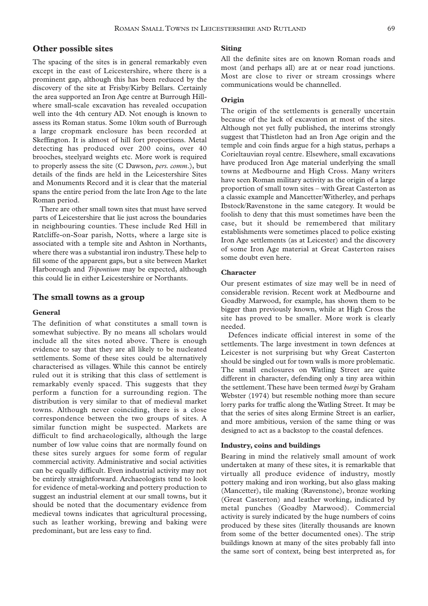## **Other possible sites**

The spacing of the sites is in general remarkably even except in the east of Leicestershire, where there is a prominent gap, although this has been reduced by the discovery of the site at Frisby/Kirby Bellars. Certainly the area supported an Iron Age centre at Burrough Hillwhere small-scale excavation has revealed occupation well into the 4th century AD. Not enough is known to assess its Roman status. Some 10km south of Burrough a large cropmark enclosure has been recorded at Skeffington. It is almost of hill fort proportions. Metal detecting has produced over 200 coins, over 40 brooches, steelyard weights etc. More work is required to properly assess the site (C Dawson, *pers. comm*.), but details of the finds are held in the Leicestershire Sites and Monuments Record and it is clear that the material spans the entire period from the late Iron Age to the late Roman period.

There are other small town sites that must have served parts of Leicestershire that lie just across the boundaries in neighbouring counties. These include Red Hill in Ratcliffe-on-Soar parish, Notts, where a large site is associated with a temple site and Ashton in Northants, where there was a substantial iron industry.These help to fill some of the apparent gaps, but a site between Market Harborough and *Tripontium* may be expected, although this could lie in either Leicestershire or Northants.

### **The small towns as a group**

#### **General**

The definition of what constitutes a small town is somewhat subjective. By no means all scholars would include all the sites noted above. There is enough evidence to say that they are all likely to be nucleated settlements. Some of these sites could be alternatively characterised as villages. While this cannot be entirely ruled out it is striking that this class of settlement is remarkably evenly spaced. This suggests that they perform a function for a surrounding region. The distribution is very similar to that of medieval market towns. Although never coinciding, there is a close correspondence between the two groups of sites. A similar function might be suspected. Markets are difficult to find archaeologically, although the large number of low value coins that are normally found on these sites surely argues for some form of regular commercial activity. Administrative and social activities can be equally difficult. Even industrial activity may not be entirely straightforward. Archaeologists tend to look for evidence of metal-working and pottery production to suggest an industrial element at our small towns, but it should be noted that the documentary evidence from medieval towns indicates that agricultural processing, such as leather working, brewing and baking were predominant, but are less easy to find.

#### **Siting**

All the definite sites are on known Roman roads and most (and perhaps all) are at or near road junctions. Most are close to river or stream crossings where communications would be channelled.

## **Origin**

The origin of the settlements is generally uncertain because of the lack of excavation at most of the sites. Although not yet fully published, the interims strongly suggest that Thistleton had an Iron Age origin and the temple and coin finds argue for a high status, perhaps a Corieltauvian royal centre. Elsewhere, small excavations have produced Iron Age material underlying the small towns at Medbourne and High Cross. Many writers have seen Roman military activity as the origin of a large proportion of small town sites – with Great Casterton as a classic example and Mancetter/Witherley, and perhaps Ibstock/Ravenstone in the same category. It would be foolish to deny that this must sometimes have been the case, but it should be remembered that military establishments were sometimes placed to police existing Iron Age settlements (as at Leicester) and the discovery of some Iron Age material at Great Casterton raises some doubt even here.

#### **Character**

Our present estimates of size may well be in need of considerable revision. Recent work at Medbourne and Goadby Marwood, for example, has shown them to be bigger than previously known, while at High Cross the site has proved to be smaller. More work is clearly needed.

Defences indicate official interest in some of the settlements. The large investment in town defences at Leicester is not surprising but why Great Casterton should be singled out for town walls is more problematic. The small enclosures on Watling Street are quite different in character, defending only a tiny area within the settlement.These have been termed *burgi* by Graham Webster (1974) but resemble nothing more than secure lorry parks for traffic along the Watling Street. It may be that the series of sites along Ermine Street is an earlier, and more ambitious, version of the same thing or was designed to act as a backstop to the coastal defences.

#### **Industry, coins and buildings**

Bearing in mind the relatively small amount of work undertaken at many of these sites, it is remarkable that virtually all produce evidence of industry, mostly pottery making and iron working, but also glass making (Mancetter), tile making (Ravenstone), bronze working (Great Casterton) and leather working, indicated by metal punches (Goadby Marwood). Commercial activity is surely indicated by the huge numbers of coins produced by these sites (literally thousands are known from some of the better documented ones). The strip buildings known at many of the sites probably fall into the same sort of context, being best interpreted as, for